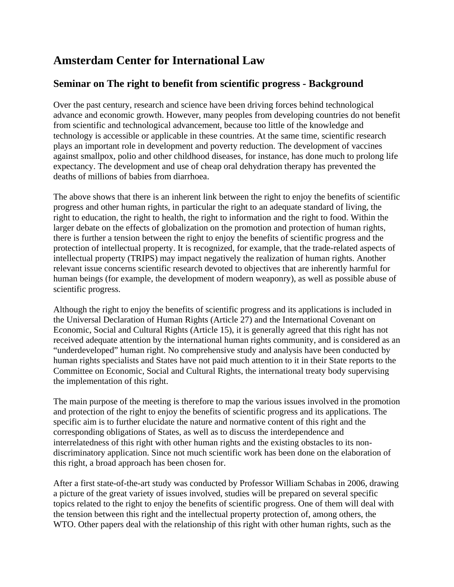## **Amsterdam Center for International Law**

## **Seminar on The right to benefit from scientific progress - Background**

Over the past century, research and science have been driving forces behind technological advance and economic growth. However, many peoples from developing countries do not benefit from scientific and technological advancement, because too little of the knowledge and technology is accessible or applicable in these countries. At the same time, scientific research plays an important role in development and poverty reduction. The development of vaccines against smallpox, polio and other childhood diseases, for instance, has done much to prolong life expectancy. The development and use of cheap oral dehydration therapy has prevented the deaths of millions of babies from diarrhoea.

The above shows that there is an inherent link between the right to enjoy the benefits of scientific progress and other human rights, in particular the right to an adequate standard of living, the right to education, the right to health, the right to information and the right to food. Within the larger debate on the effects of globalization on the promotion and protection of human rights, there is further a tension between the right to enjoy the benefits of scientific progress and the protection of intellectual property. It is recognized, for example, that the trade-related aspects of intellectual property (TRIPS) may impact negatively the realization of human rights. Another relevant issue concerns scientific research devoted to objectives that are inherently harmful for human beings (for example, the development of modern weaponry), as well as possible abuse of scientific progress.

Although the right to enjoy the benefits of scientific progress and its applications is included in the Universal Declaration of Human Rights (Article 27) and the International Covenant on Economic, Social and Cultural Rights (Article 15), it is generally agreed that this right has not received adequate attention by the international human rights community, and is considered as an "underdeveloped" human right. No comprehensive study and analysis have been conducted by human rights specialists and States have not paid much attention to it in their State reports to the Committee on Economic, Social and Cultural Rights, the international treaty body supervising the implementation of this right.

The main purpose of the meeting is therefore to map the various issues involved in the promotion and protection of the right to enjoy the benefits of scientific progress and its applications. The specific aim is to further elucidate the nature and normative content of this right and the corresponding obligations of States, as well as to discuss the interdependence and interrelatedness of this right with other human rights and the existing obstacles to its nondiscriminatory application. Since not much scientific work has been done on the elaboration of this right, a broad approach has been chosen for.

After a first state-of-the-art study was conducted by Professor William Schabas in 2006, drawing a picture of the great variety of issues involved, studies will be prepared on several specific topics related to the right to enjoy the benefits of scientific progress. One of them will deal with the tension between this right and the intellectual property protection of, among others, the WTO. Other papers deal with the relationship of this right with other human rights, such as the